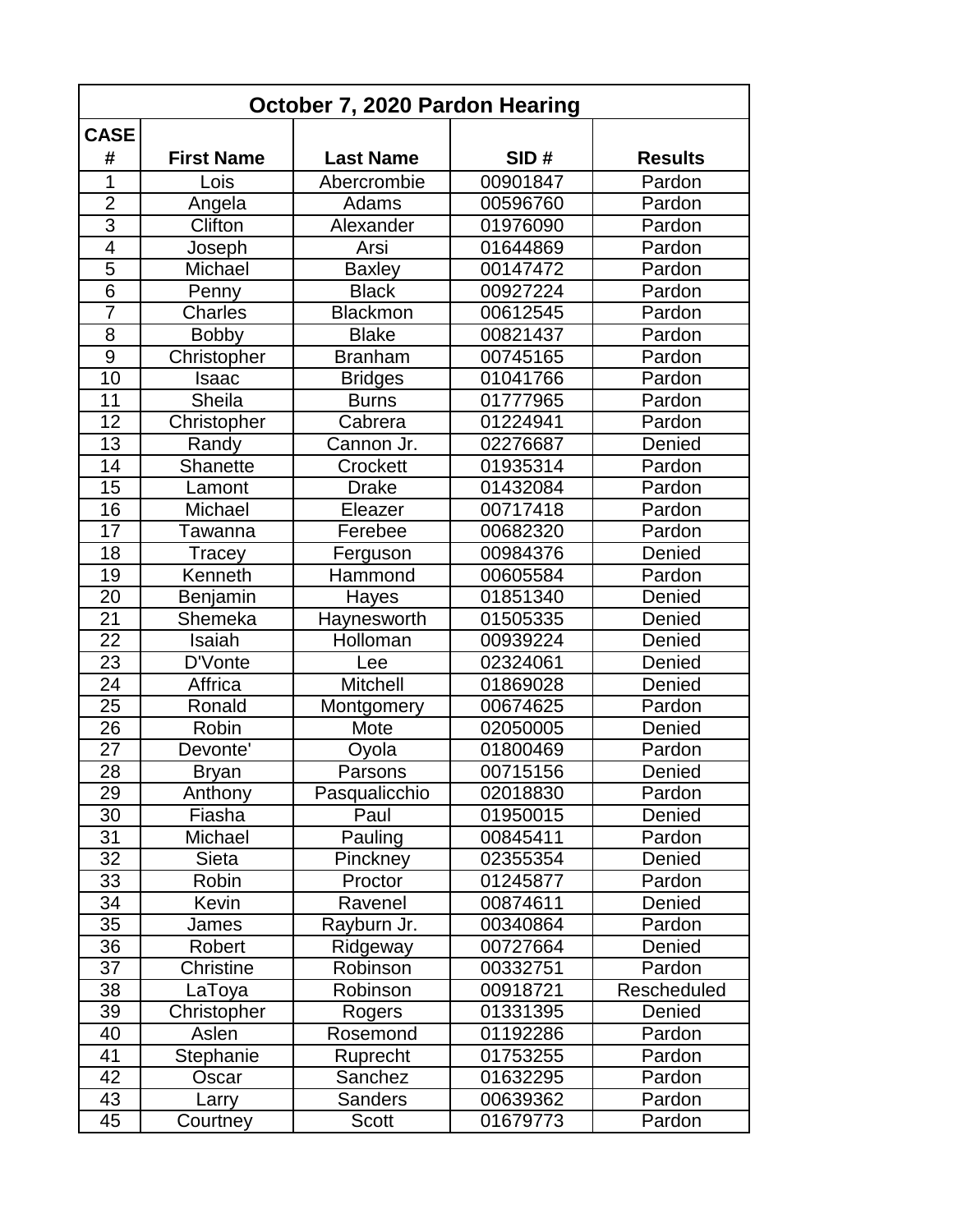| October 7, 2020 Pardon Hearing |                   |                  |          |                |  |  |
|--------------------------------|-------------------|------------------|----------|----------------|--|--|
| <b>CASE</b>                    |                   |                  |          |                |  |  |
| #                              | <b>First Name</b> | <b>Last Name</b> | SID#     | <b>Results</b> |  |  |
| 1                              | Lois              | Abercrombie      | 00901847 | Pardon         |  |  |
| $\overline{2}$                 | Angela            | Adams            | 00596760 | Pardon         |  |  |
| $\overline{3}$                 | Clifton           | Alexander        | 01976090 | Pardon         |  |  |
| 4                              | Joseph            | Arsi             | 01644869 | Pardon         |  |  |
| 5                              | Michael           | <b>Baxley</b>    | 00147472 | Pardon         |  |  |
| $\overline{6}$                 | Penny             | <b>Black</b>     | 00927224 | Pardon         |  |  |
| $\overline{7}$                 | Charles           | <b>Blackmon</b>  | 00612545 | Pardon         |  |  |
| 8                              | <b>Bobby</b>      | <b>Blake</b>     | 00821437 | Pardon         |  |  |
| $\overline{9}$                 | Christopher       | <b>Branham</b>   | 00745165 | Pardon         |  |  |
| 10                             | Isaac             | <b>Bridges</b>   | 01041766 | Pardon         |  |  |
| 11                             | Sheila            | <b>Burns</b>     | 01777965 | Pardon         |  |  |
| 12                             | Christopher       | Cabrera          | 01224941 | Pardon         |  |  |
| 13                             | Randy             | Cannon Jr.       | 02276687 | Denied         |  |  |
| 14                             | <b>Shanette</b>   | Crockett         | 01935314 | Pardon         |  |  |
| 15                             | Lamont            | <b>Drake</b>     | 01432084 | Pardon         |  |  |
| 16                             | Michael           | Eleazer          | 00717418 | Pardon         |  |  |
| 17                             | Tawanna           | Ferebee          | 00682320 | Pardon         |  |  |
| 18                             | Tracey            | Ferguson         | 00984376 | Denied         |  |  |
| 19                             | Kenneth           | Hammond          | 00605584 | Pardon         |  |  |
| 20                             | Benjamin          | Hayes            | 01851340 | Denied         |  |  |
| 21                             | Shemeka           | Haynesworth      | 01505335 | Denied         |  |  |
| $\overline{22}$                | Isaiah            | Holloman         | 00939224 | Denied         |  |  |
| 23                             | D'Vonte           | Lee              | 02324061 | Denied         |  |  |
| 24                             | Affrica           | <b>Mitchell</b>  | 01869028 | Denied         |  |  |
| 25                             | Ronald            | Montgomery       | 00674625 | Pardon         |  |  |
| 26                             | Robin             | Mote             | 02050005 | Denied         |  |  |
| 27                             | Devonte'          | Oyola            | 01800469 | Pardon         |  |  |
| 28                             | <b>Bryan</b>      | Parsons          | 00715156 | Denied         |  |  |
| 29                             | Anthony           | Pasqualicchio    | 02018830 | Pardon         |  |  |
| 30                             | Fiasha            | Paul             | 01950015 | Denied         |  |  |
| 31                             | Michael           | Pauling          | 00845411 | Pardon         |  |  |
| 32                             | Sieta             | Pinckney         | 02355354 | Denied         |  |  |
| 33                             | Robin             | Proctor          | 01245877 | Pardon         |  |  |
| 34                             | Kevin             | Ravenel          | 00874611 | Denied         |  |  |
| 35                             | James             | Rayburn Jr.      | 00340864 | Pardon         |  |  |
| 36                             | Robert            | Ridgeway         | 00727664 | Denied         |  |  |
| 37                             | Christine         | Robinson         | 00332751 | Pardon         |  |  |
| 38                             | LaToya            | Robinson         | 00918721 | Rescheduled    |  |  |
| 39                             | Christopher       | Rogers           | 01331395 | Denied         |  |  |
| 40                             | Aslen             | Rosemond         | 01192286 | Pardon         |  |  |
| 41                             | Stephanie         | Ruprecht         | 01753255 | Pardon         |  |  |
| 42                             | Oscar             | Sanchez          | 01632295 | Pardon         |  |  |
| 43                             | Larry             | <b>Sanders</b>   | 00639362 | Pardon         |  |  |
| 45                             | Courtney          | <b>Scott</b>     | 01679773 | Pardon         |  |  |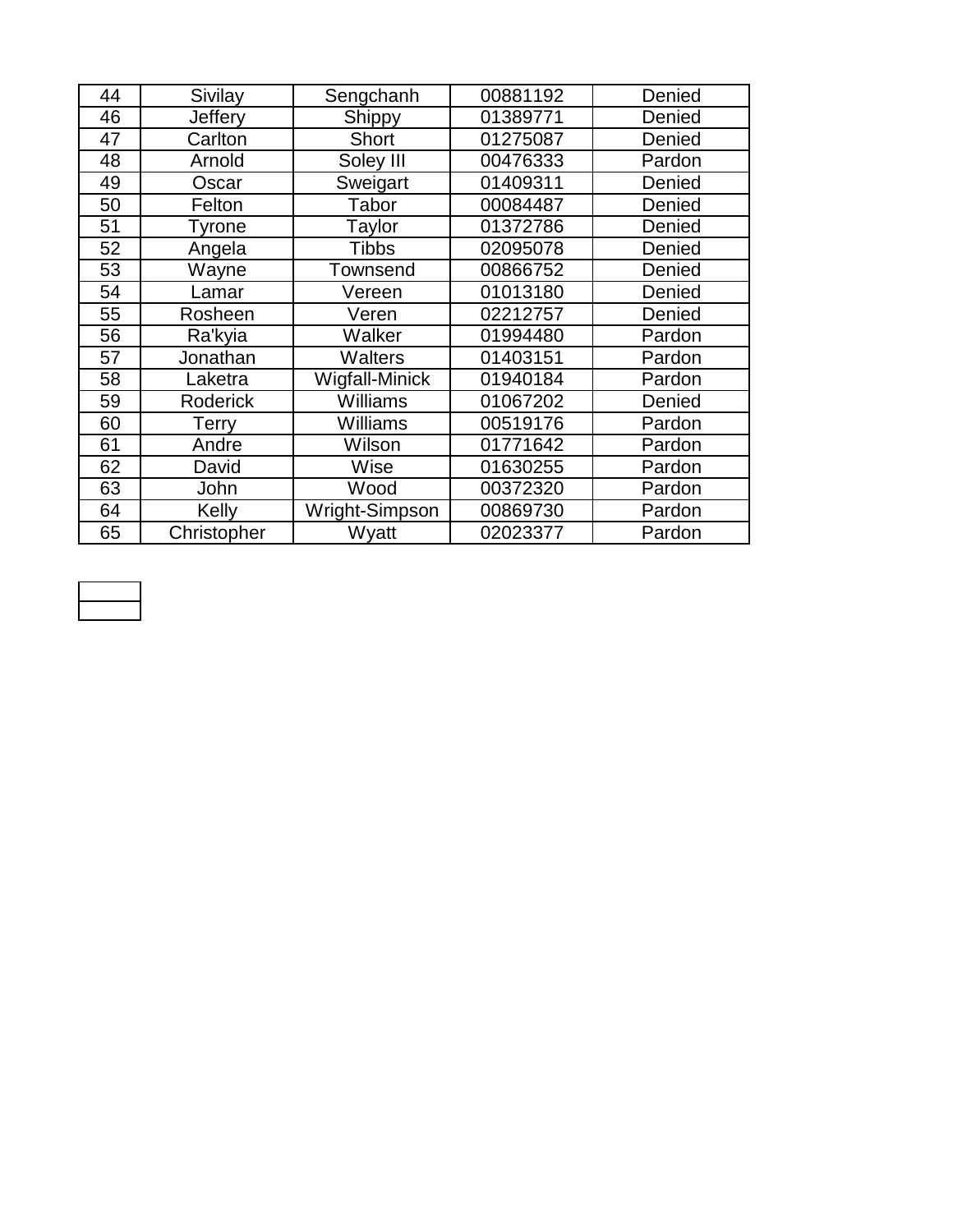| 44 | Sivilay         | Sengchanh             | 00881192 | Denied |
|----|-----------------|-----------------------|----------|--------|
| 46 | Jeffery         | Shippy                | 01389771 | Denied |
| 47 | Carlton         | <b>Short</b>          | 01275087 | Denied |
| 48 | Arnold          | Soley III             | 00476333 | Pardon |
| 49 | Oscar           | Sweigart              | 01409311 | Denied |
| 50 | Felton          | Tabor                 | 00084487 | Denied |
| 51 | Tyrone          | Taylor                | 01372786 | Denied |
| 52 | Angela          | <b>Tibbs</b>          | 02095078 | Denied |
| 53 | Wayne           | <b>Townsend</b>       | 00866752 | Denied |
| 54 | Lamar           | Vereen                | 01013180 | Denied |
| 55 | Rosheen         | Veren                 | 02212757 | Denied |
| 56 | Ra'kyia         | Walker                | 01994480 | Pardon |
| 57 | Jonathan        | <b>Walters</b>        | 01403151 | Pardon |
| 58 | _aketra         | <b>Wigfall-Minick</b> | 01940184 | Pardon |
| 59 | <b>Roderick</b> | Williams              | 01067202 | Denied |
| 60 | <b>Terry</b>    | Williams              | 00519176 | Pardon |
| 61 | Andre           | Wilson                | 01771642 | Pardon |
| 62 | David           | Wise                  | 01630255 | Pardon |
| 63 | John            | Wood                  | 00372320 | Pardon |
| 64 | Kelly           | Wright-Simpson        | 00869730 | Pardon |
| 65 | Christopher     | Wyatt                 | 02023377 | Pardon |